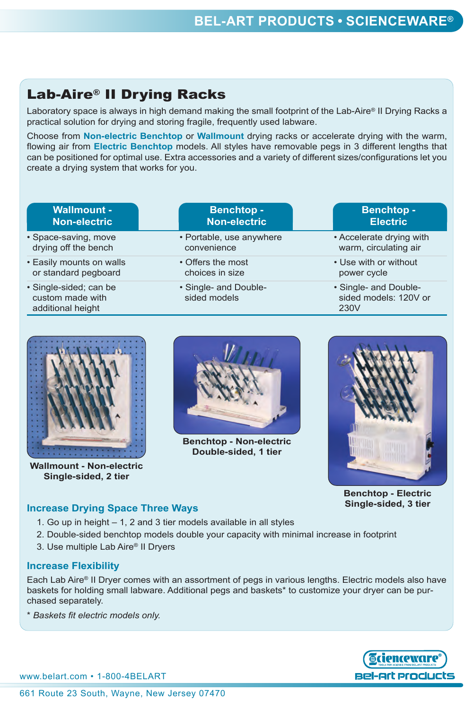# lab-aire® ii Drying Racks

Laboratory space is always in high demand making the small footprint of the Lab-Aire® II Drying Racks a practical solution for drying and storing fragile, frequently used labware.

Choose from **non-electric benchtop** or **wallmount** drying racks or accelerate drying with the warm, flowing air from **electric benchtop** models. All styles have removable pegs in 3 different lengths that can be positioned for optimal use. Extra accessories and a variety of different sizes/configurations let you create a drying system that works for you.

| <b>Wallmount -</b>                                              | <b>Benchtop-</b>                      | <b>Benchtop-</b>                                       |
|-----------------------------------------------------------------|---------------------------------------|--------------------------------------------------------|
| <b>Non-electric</b>                                             | <b>Non-electric</b>                   | <b>Electric</b>                                        |
| · Space-saving, move                                            | • Portable, use anywhere              | • Accelerate drying with                               |
| drying off the bench                                            | convenience                           | warm, circulating air                                  |
| • Easily mounts on walls                                        | • Offers the most                     | • Use with or without                                  |
| or standard pegboard                                            | choices in size                       | power cycle                                            |
| · Single-sided; can be<br>custom made with<br>additional height | • Single- and Double-<br>sided models | • Single- and Double-<br>sided models: 120V or<br>230V |



**Wallmount - Non-electric single-sided, 2 tier**



**Benchtop - Non-electric double-sided, 1 tier**



**Benchtop - Electric single-sided, 3 tier**

### **increase Drying Space Three Ways**

- 1. Go up in height 1, 2 and 3 tier models available in all styles
- 2. Double-sided benchtop models double your capacity with minimal increase in footprint
- 3. Use multiple Lab Aire® II Dryers

#### **increase Flexibility**

Each Lab Aire® II Dryer comes with an assortment of pegs in various lengths. Electric models also have baskets for holding small labware. Additional pegs and baskets\* to customize your dryer can be purchased separately.

\* *Baskets fit electric models only.*

www.belart.com • 1-800-4BELART